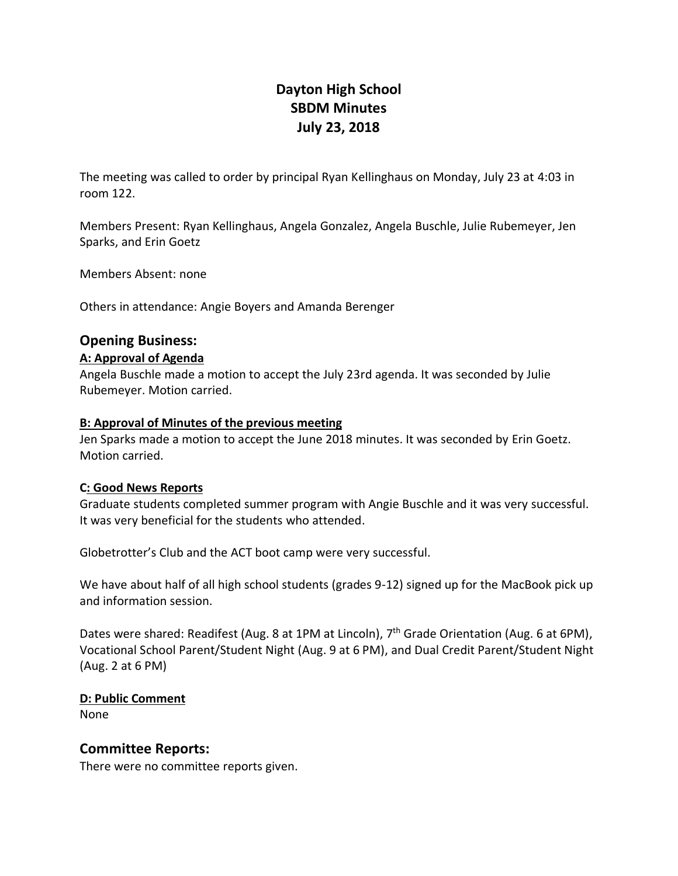# **Dayton High School SBDM Minutes July 23, 2018**

The meeting was called to order by principal Ryan Kellinghaus on Monday, July 23 at 4:03 in room 122.

Members Present: Ryan Kellinghaus, Angela Gonzalez, Angela Buschle, Julie Rubemeyer, Jen Sparks, and Erin Goetz

Members Absent: none

Others in attendance: Angie Boyers and Amanda Berenger

## **Opening Business:**

#### **A: Approval of Agenda**

Angela Buschle made a motion to accept the July 23rd agenda. It was seconded by Julie Rubemeyer. Motion carried.

#### **B: Approval of Minutes of the previous meeting**

Jen Sparks made a motion to accept the June 2018 minutes. It was seconded by Erin Goetz. Motion carried.

#### **C: Good News Reports**

Graduate students completed summer program with Angie Buschle and it was very successful. It was very beneficial for the students who attended.

Globetrotter's Club and the ACT boot camp were very successful.

We have about half of all high school students (grades 9-12) signed up for the MacBook pick up and information session.

Dates were shared: Readifest (Aug. 8 at 1PM at Lincoln), 7<sup>th</sup> Grade Orientation (Aug. 6 at 6PM), Vocational School Parent/Student Night (Aug. 9 at 6 PM), and Dual Credit Parent/Student Night (Aug. 2 at 6 PM)

### **D: Public Comment**

None

### **Committee Reports:**

There were no committee reports given.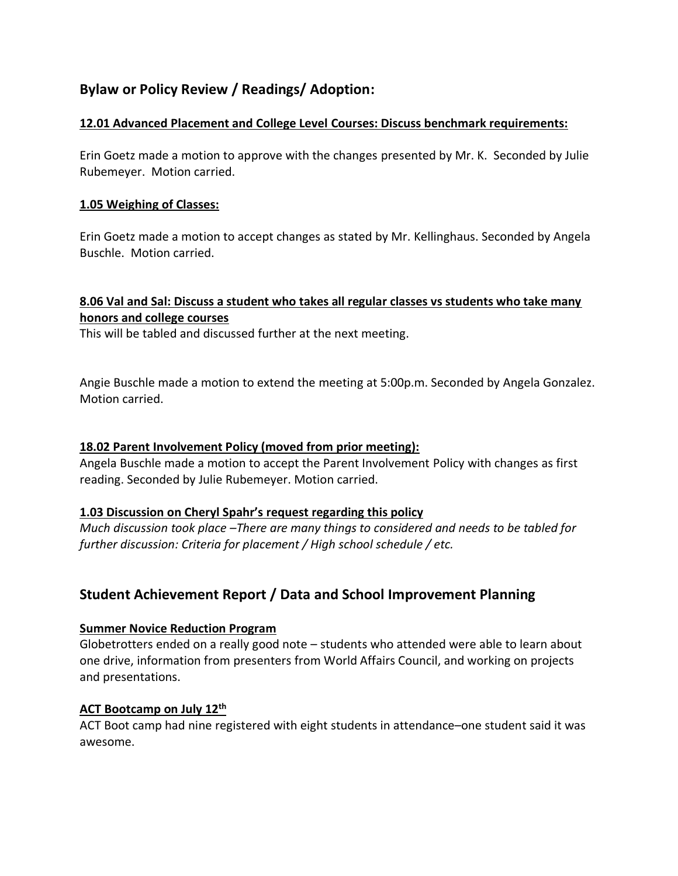# **Bylaw or Policy Review / Readings/ Adoption:**

### **12.01 Advanced Placement and College Level Courses: Discuss benchmark requirements:**

Erin Goetz made a motion to approve with the changes presented by Mr. K. Seconded by Julie Rubemeyer. Motion carried.

### **1.05 Weighing of Classes:**

Erin Goetz made a motion to accept changes as stated by Mr. Kellinghaus. Seconded by Angela Buschle. Motion carried.

## **8.06 Val and Sal: Discuss a student who takes all regular classes vs students who take many honors and college courses**

This will be tabled and discussed further at the next meeting.

Angie Buschle made a motion to extend the meeting at 5:00p.m. Seconded by Angela Gonzalez. Motion carried.

### **18.02 Parent Involvement Policy (moved from prior meeting):**

Angela Buschle made a motion to accept the Parent Involvement Policy with changes as first reading. Seconded by Julie Rubemeyer. Motion carried.

### **1.03 Discussion on Cheryl Spahr's request regarding this policy**

*Much discussion took place –There are many things to considered and needs to be tabled for further discussion: Criteria for placement / High school schedule / etc.*

# **Student Achievement Report / Data and School Improvement Planning**

#### **Summer Novice Reduction Program**

Globetrotters ended on a really good note – students who attended were able to learn about one drive, information from presenters from World Affairs Council, and working on projects and presentations.

### **ACT Bootcamp on July 12th**

ACT Boot camp had nine registered with eight students in attendance–one student said it was awesome.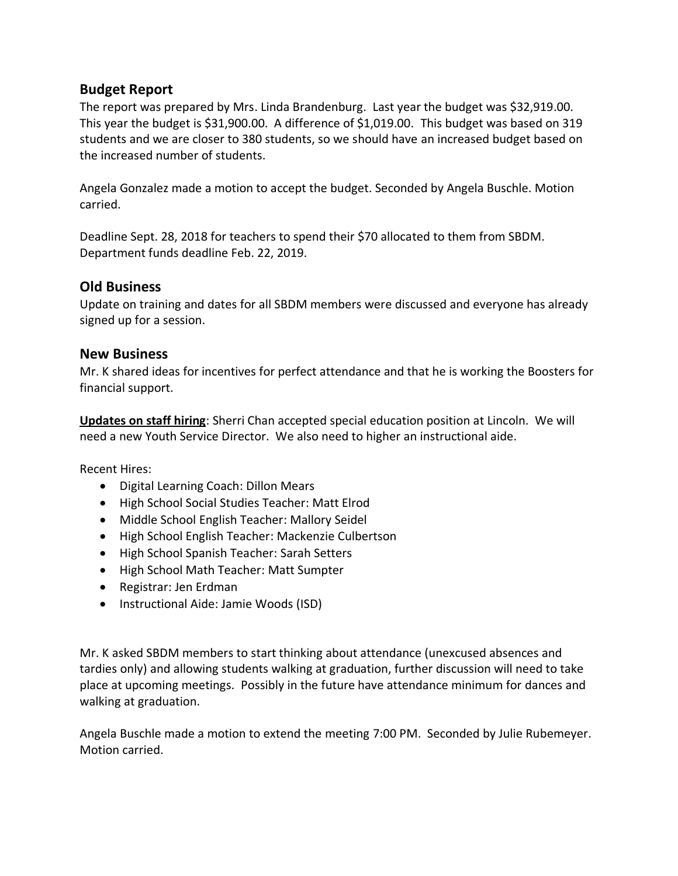## **Budget Report**

The report was prepared by Mrs. Linda Brandenburg. Last year the budget was \$32,919.00. This year the budget is \$31,900.00. A difference of \$1,019.00. This budget was based on 319 students and we are closer to 380 students, so we should have an increased budget based on the increased number of students.

Angela Gonzalez made a motion to accept the budget. Seconded by Angela Buschle. Motion carried.

Deadline Sept. 28, 2018 for teachers to spend their \$70 allocated to them from SBDM. Department funds deadline Feb. 22, 2019.

## **Old Business**

Update on training and dates for all SBDM members were discussed and everyone has already signed up for a session.

## **New Business**

Mr. K shared ideas for incentives for perfect attendance and that he is working the Boosters for financial support.

**Updates on staff hiring**: Sherri Chan accepted special education position at Lincoln. We will need a new Youth Service Director. We also need to higher an instructional aide.

Recent Hires:

- Digital Learning Coach: Dillon Mears
- High School Social Studies Teacher: Matt Elrod
- Middle School English Teacher: Mallory Seidel
- High School English Teacher: Mackenzie Culbertson
- High School Spanish Teacher: Sarah Setters
- High School Math Teacher: Matt Sumpter
- Registrar: Jen Erdman
- Instructional Aide: Jamie Woods (ISD)

Mr. K asked SBDM members to start thinking about attendance (unexcused absences and tardies only) and allowing students walking at graduation, further discussion will need to take place at upcoming meetings. Possibly in the future have attendance minimum for dances and walking at graduation.

Angela Buschle made a motion to extend the meeting 7:00 PM. Seconded by Julie Rubemeyer. Motion carried.